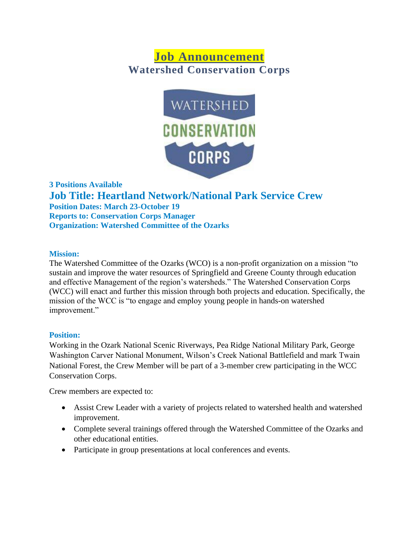# **Job Announcement Watershed Conservation Corps**



**3 Positions Available Job Title: Heartland Network/National Park Service Crew Position Dates: March 23-October 19 Reports to: Conservation Corps Manager Organization: Watershed Committee of the Ozarks**

#### **Mission:**

The Watershed Committee of the Ozarks (WCO) is a non-profit organization on a mission "to sustain and improve the water resources of Springfield and Greene County through education and effective Management of the region's watersheds." The Watershed Conservation Corps (WCC) will enact and further this mission through both projects and education. Specifically, the mission of the WCC is "to engage and employ young people in hands-on watershed improvement."

# **Position:**

Working in the Ozark National Scenic Riverways, Pea Ridge National Military Park, George Washington Carver National Monument, Wilson's Creek National Battlefield and mark Twain National Forest, the Crew Member will be part of a 3-member crew participating in the WCC Conservation Corps.

Crew members are expected to:

- Assist Crew Leader with a variety of projects related to watershed health and watershed improvement.
- Complete several trainings offered through the Watershed Committee of the Ozarks and other educational entities.
- Participate in group presentations at local conferences and events.